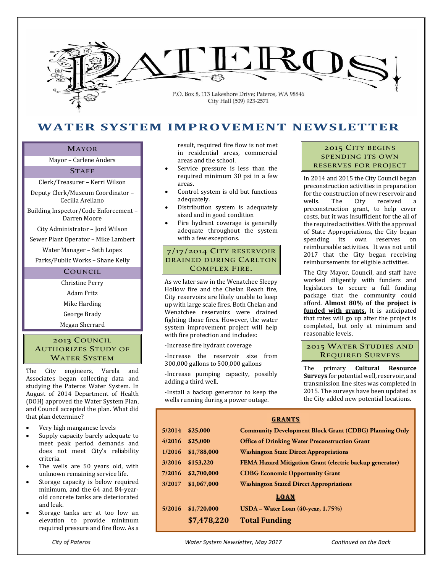

# **WATER SYSTEM IMPROVEMENT NEWSLETTER**

#### MAYOR

Mayor - Carlene Anders

#### **STAFF**

Clerk/Treasurer - Kerri Wilson

Deputy Clerk/Museum Coordinator -Cecilia Arellano 

Building Inspector/Code Enforcement -Darren Moore 

City Administrator - Jord Wilson

Sewer Plant Operator - Mike Lambert

Water Manager - Seth Lopez

Parks/Public Works - Shane Kelly

# COUNCIL

Christine Perry Adam Fritz Mike Harding George Brady

Megan Sherrard 

## 2013 COUNCIL AUTHORIZES STUDY OF WATER SYSTEM

The City engineers, Varela and Associates began collecting data and studying the Pateros Water System. In August of 2014 Department of Health (DOH) approved the Water System Plan, and Council accepted the plan. What did that plan determine?

- Very high manganese levels
- Supply capacity barely adequate to meet peak period demands and does not meet City's reliability criteria.
- The wells are 50 years old, with unknown remaining service life.
- Storage capacity is below required minimum, and the 64 and 84-yearold concrete tanks are deteriorated and leak.
- Storage tanks are at too low an elevation to provide minimum required pressure and fire flow. As a

result, required fire flow is not met in residential areas, commercial areas and the school.

- Service pressure is less than the required minimum 30 psi in a few areas.
- Control system is old but functions adequately.
- Distribution system is adequately sized and in good condition
- Fire hydrant coverage is generally adequate throughout the system with a few exceptions.

# 7/17/2014 CITY RESERVOIR DRAINED DURING CARLTON COMPLEX FIRE.

As we later saw in the Wenatchee Sleepy Hollow fire and the Chelan Reach fire, City reservoirs are likely unable to keep up with large scale fires. Both Chelan and Wenatchee reservoirs were drained fighting those fires. However, the water system improvement project will help with fire protection and includes:

‐Increase fire hydrant coverage 

‐Increase the reservoir size from 300,000 gallons to 500,000 gallons

‐Increase pumping capacity, possibly adding a third well.

‐Install a backup generator to keep the wells running during a power outage.

## 2015 CITY BEGINS SPENDING ITS OWN RESERVES FOR PROJECT

In 2014 and 2015 the City Council began preconstruction activities in preparation for the construction of new reservoir and wells. The City received a preconstruction grant, to help cover costs, but it was insufficient for the all of the required activities. With the approval of State Appropriations, the City began spending its own reserves on reimbursable activities. It was not until 2017 that the City began receiving reimbursements for eligible activities.

The City Mayor, Council, and staff have worked diligently with funders and legislators to secure a full funding package that the community could afford. **Almost 80% of the project is funded** with **grants**. It is anticipated that rates will go up after the project is completed, but only at minimum and reasonable levels.

## 2015 WATER STUDIES AND REQUIRED SURVEYS

The primary **Cultural Resource Surveys** for potential well, reservoir, and transmission line sites was completed in 2015. The surveys have been updated as the City added new potential locations.

| <b>GRANTS</b> |             |                                                               |
|---------------|-------------|---------------------------------------------------------------|
| 5/2014        | \$25,000    | <b>Community Development Block Grant (CDBG) Planning Only</b> |
| 4/2016        | \$25,000    | <b>Office of Drinking Water Preconstruction Grant</b>         |
| 1/2016        | \$1,788,000 | <b>Washington State Direct Appropriations</b>                 |
| 3/2016        | \$153,220   | FEMA Hazard Mitigation Grant (electric backup generator)      |
| 7/2016        | \$2,700,000 | <b>CDBG Economic Opportunity Grant</b>                        |
| 3/2017        | \$1,067,000 | <b>Washington Stated Direct Appropriations</b>                |
| LOAN          |             |                                                               |
| 5/2016        | \$1,720,000 | $USDA - Water Loan (40-year, 1.75%)$                          |
|               | \$7,478,220 | <b>Total Funding</b>                                          |